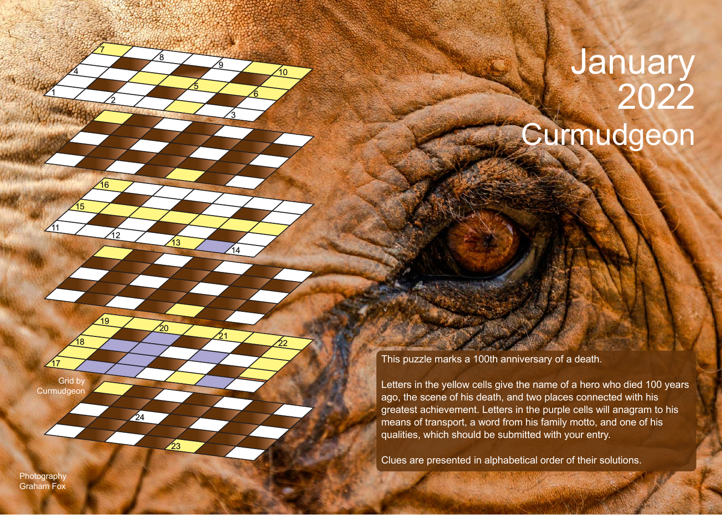## Curmudgeon January 2022

This puzzle marks a 100th anniversary of a death.

Letters in the yellow cells give the name of a hero who died 100 years ago, the scene of his death, and two places connected with his greatest achievement. Letters in the purple cells will anagram to his means of transport, a word from his family motto, and one of his qualities, which should be submitted with your entry.

Clues are presented in alphabetical order of their solutions.

**Photography** Graham Fox

1

<u>11</u>

17

Grid by **Curmudgeon** 

15

18

 $\overline{4}$ 

2

ة 1

19

16

7

<u>3</u>

 $14$ 

21

<u>ର</u>

6

10

22

5

<u>8</u>

13

ົ່າດ

23

 $\frac{1}{24}$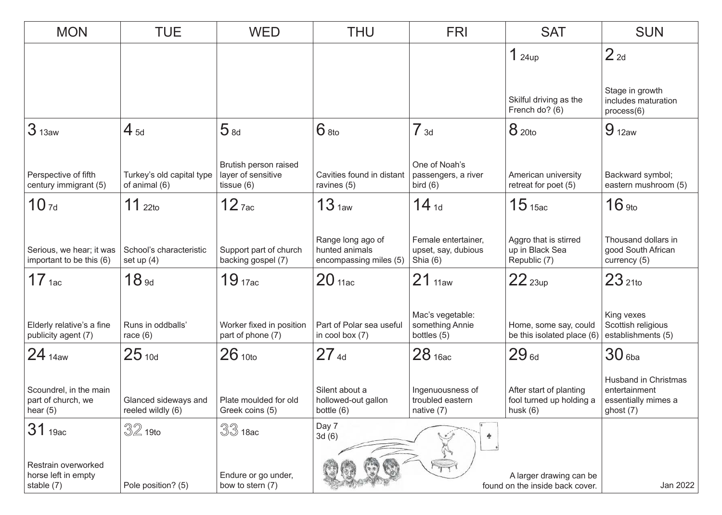| <b>MON</b>                                                 | <b>TUE</b>                                 | <b>WED</b>                                                  | <b>THU</b>                                                    | <b>FRI</b>                                             | <b>SAT</b>                                                        | <b>SUN</b>                                                                         |
|------------------------------------------------------------|--------------------------------------------|-------------------------------------------------------------|---------------------------------------------------------------|--------------------------------------------------------|-------------------------------------------------------------------|------------------------------------------------------------------------------------|
|                                                            |                                            |                                                             |                                                               |                                                        | 1 <sub>24up</sub>                                                 | 2 <sub>2d</sub>                                                                    |
|                                                            |                                            |                                                             |                                                               |                                                        |                                                                   |                                                                                    |
|                                                            |                                            |                                                             |                                                               |                                                        | Skilful driving as the<br>French do? (6)                          | Stage in growth<br>includes maturation<br>process(6)                               |
| 3 <sub>13aw</sub>                                          | $4_{5d}$                                   | 5 <sub>8d</sub>                                             | $6$ 8to                                                       | 7 <sub>3d</sub>                                        | 8 <sub>20to</sub>                                                 | $9_{12aw}$                                                                         |
| Perspective of fifth<br>century immigrant (5)              | Turkey's old capital type<br>of animal (6) | Brutish person raised<br>layer of sensitive<br>tissue $(6)$ | Cavities found in distant<br>ravines (5)                      | One of Noah's<br>passengers, a river<br>bird $(6)$     | American university<br>retreat for poet (5)                       | Backward symbol;<br>eastern mushroom (5)                                           |
| 10 <sub>7d</sub>                                           | $11$ 22to                                  | $12$ $7ac$                                                  | 13 <sub>1aw</sub>                                             | $14_{1d}$                                              | 15 <sub>15ac</sub>                                                | $16$ 9to                                                                           |
| Serious, we hear; it was<br>important to be this (6)       | School's characteristic<br>set up $(4)$    | Support part of church<br>backing gospel (7)                | Range long ago of<br>hunted animals<br>encompassing miles (5) | Female entertainer,<br>upset, say, dubious<br>Shia (6) | Aggro that is stirred<br>up in Black Sea<br>Republic (7)          | Thousand dollars in<br>good South African<br>currency (5)                          |
| 17 <sub>1ac</sub>                                          | 18 <sub>9d</sub>                           | 19 <sub>17ac</sub>                                          | 20 <sub>11ac</sub>                                            | 21 <sub>11aw</sub>                                     | 22 <sub>23up</sub>                                                | $23_{210}$                                                                         |
| Elderly relative's a fine<br>publicity agent (7)           | Runs in oddballs'<br>race $(6)$            | Worker fixed in position<br>part of phone (7)               | Part of Polar sea useful<br>in cool box $(7)$                 | Mac's vegetable:<br>something Annie<br>bottles (5)     | Home, some say, could<br>be this isolated place (6)               | King vexes<br>Scottish religious<br>establishments (5)                             |
| 24 <sub>14aw</sub>                                         | $25_{10d}$                                 | 26 <sub>10to</sub>                                          | $27_{4d}$                                                     | 28 <sub>16ac</sub>                                     | $29_{6d}$                                                         | $30$ 6ba                                                                           |
| Scoundrel, in the main<br>part of church, we<br>hear $(5)$ | Glanced sideways and<br>reeled wildly (6)  | Plate moulded for old<br>Greek coins (5)                    | Silent about a<br>hollowed-out gallon<br>bottle (6)           | Ingenuousness of<br>troubled eastern<br>native $(7)$   | After start of planting<br>fool turned up holding a<br>husk $(6)$ | <b>Husband in Christmas</b><br>entertainment<br>essentially mimes a<br>ghost $(7)$ |
| 31 19ac                                                    | $32$ 19to                                  | $33$ 18ac                                                   | Day 7<br>3d(6)                                                |                                                        |                                                                   |                                                                                    |
| Restrain overworked<br>horse left in empty<br>stable (7)   | Pole position? (5)                         | Endure or go under,<br>bow to stern (7)                     |                                                               |                                                        | A larger drawing can be<br>found on the inside back cover.        | Jan 2022                                                                           |